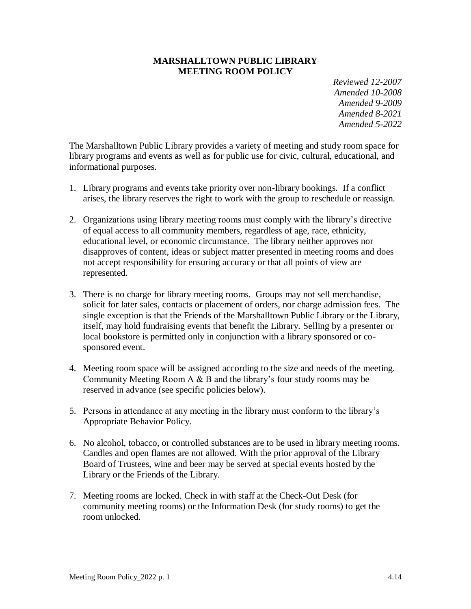#### **MARSHALLTOWN PUBLIC LIBRARY MEETING ROOM POLICY**

*Reviewed 12-2007 Amended 10-2008 Amended 9-2009 Amended 8-2021 Amended 5-2022*

The Marshalltown Public Library provides a variety of meeting and study room space for library programs and events as well as for public use for civic, cultural, educational, and informational purposes.

- 1. Library programs and events take priority over non-library bookings. If a conflict arises, the library reserves the right to work with the group to reschedule or reassign.
- 2. Organizations using library meeting rooms must comply with the library's directive of equal access to all community members, regardless of age, race, ethnicity, educational level, or economic circumstance. The library neither approves nor disapproves of content, ideas or subject matter presented in meeting rooms and does not accept responsibility for ensuring accuracy or that all points of view are represented.
- 3. There is no charge for library meeting rooms. Groups may not sell merchandise, solicit for later sales, contacts or placement of orders, nor charge admission fees. The single exception is that the Friends of the Marshalltown Public Library or the Library, itself, may hold fundraising events that benefit the Library. Selling by a presenter or local bookstore is permitted only in conjunction with a library sponsored or cosponsored event.
- 4. Meeting room space will be assigned according to the size and needs of the meeting. Community Meeting Room A & B and the library's four study rooms may be reserved in advance (see specific policies below).
- 5. Persons in attendance at any meeting in the library must conform to the library's Appropriate Behavior Policy.
- 6. No alcohol, tobacco, or controlled substances are to be used in library meeting rooms. Candles and open flames are not allowed. With the prior approval of the Library Board of Trustees, wine and beer may be served at special events hosted by the Library or the Friends of the Library.
- 7. Meeting rooms are locked. Check in with staff at the Check-Out Desk (for community meeting rooms) or the Information Desk (for study rooms) to get the room unlocked.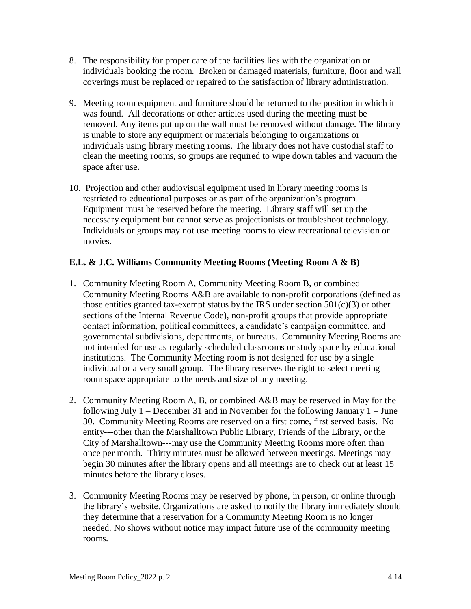- 8. The responsibility for proper care of the facilities lies with the organization or individuals booking the room. Broken or damaged materials, furniture, floor and wall coverings must be replaced or repaired to the satisfaction of library administration.
- 9. Meeting room equipment and furniture should be returned to the position in which it was found. All decorations or other articles used during the meeting must be removed. Any items put up on the wall must be removed without damage. The library is unable to store any equipment or materials belonging to organizations or individuals using library meeting rooms. The library does not have custodial staff to clean the meeting rooms, so groups are required to wipe down tables and vacuum the space after use.
- 10. Projection and other audiovisual equipment used in library meeting rooms is restricted to educational purposes or as part of the organization's program. Equipment must be reserved before the meeting. Library staff will set up the necessary equipment but cannot serve as projectionists or troubleshoot technology. Individuals or groups may not use meeting rooms to view recreational television or movies.

## **E.L. & J.C. Williams Community Meeting Rooms (Meeting Room A & B)**

- 1. Community Meeting Room A, Community Meeting Room B, or combined Community Meeting Rooms A&B are available to non-profit corporations (defined as those entities granted tax-exempt status by the IRS under section  $501(c)(3)$  or other sections of the Internal Revenue Code), non-profit groups that provide appropriate contact information, political committees, a candidate's campaign committee, and governmental subdivisions, departments, or bureaus. Community Meeting Rooms are not intended for use as regularly scheduled classrooms or study space by educational institutions. The Community Meeting room is not designed for use by a single individual or a very small group. The library reserves the right to select meeting room space appropriate to the needs and size of any meeting.
- 2. Community Meeting Room A, B, or combined A&B may be reserved in May for the following July 1 – December 31 and in November for the following January 1 – June 30. Community Meeting Rooms are reserved on a first come, first served basis. No entity---other than the Marshalltown Public Library, Friends of the Library, or the City of Marshalltown---may use the Community Meeting Rooms more often than once per month. Thirty minutes must be allowed between meetings. Meetings may begin 30 minutes after the library opens and all meetings are to check out at least 15 minutes before the library closes.
- 3. Community Meeting Rooms may be reserved by phone, in person, or online through the library's website. Organizations are asked to notify the library immediately should they determine that a reservation for a Community Meeting Room is no longer needed. No shows without notice may impact future use of the community meeting rooms.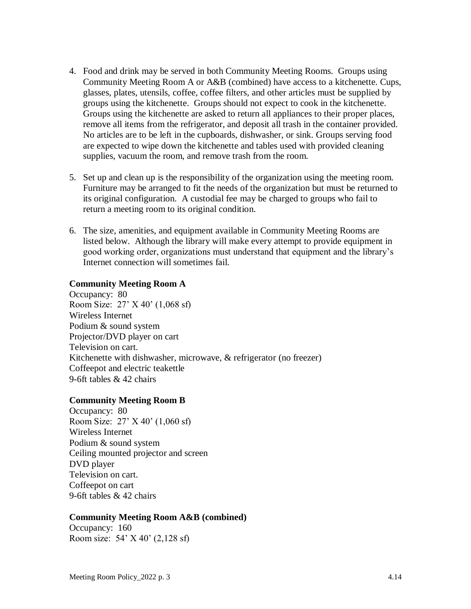- 4. Food and drink may be served in both Community Meeting Rooms. Groups using Community Meeting Room A or A&B (combined) have access to a kitchenette. Cups, glasses, plates, utensils, coffee, coffee filters, and other articles must be supplied by groups using the kitchenette. Groups should not expect to cook in the kitchenette. Groups using the kitchenette are asked to return all appliances to their proper places, remove all items from the refrigerator, and deposit all trash in the container provided. No articles are to be left in the cupboards, dishwasher, or sink. Groups serving food are expected to wipe down the kitchenette and tables used with provided cleaning supplies, vacuum the room, and remove trash from the room.
- 5. Set up and clean up is the responsibility of the organization using the meeting room. Furniture may be arranged to fit the needs of the organization but must be returned to its original configuration. A custodial fee may be charged to groups who fail to return a meeting room to its original condition.
- 6. The size, amenities, and equipment available in Community Meeting Rooms are listed below. Although the library will make every attempt to provide equipment in good working order, organizations must understand that equipment and the library's Internet connection will sometimes fail.

#### **Community Meeting Room A**

Occupancy: 80 Room Size: 27' X 40' (1,068 sf) Wireless Internet Podium & sound system Projector/DVD player on cart Television on cart. Kitchenette with dishwasher, microwave, & refrigerator (no freezer) Coffeepot and electric teakettle 9-6ft tables & 42 chairs

#### **Community Meeting Room B**

Occupancy: 80 Room Size: 27' X 40' (1,060 sf) Wireless Internet Podium & sound system Ceiling mounted projector and screen DVD player Television on cart. Coffeepot on cart 9-6ft tables & 42 chairs

### **Community Meeting Room A&B (combined)**

Occupancy: 160 Room size: 54' X 40' (2,128 sf)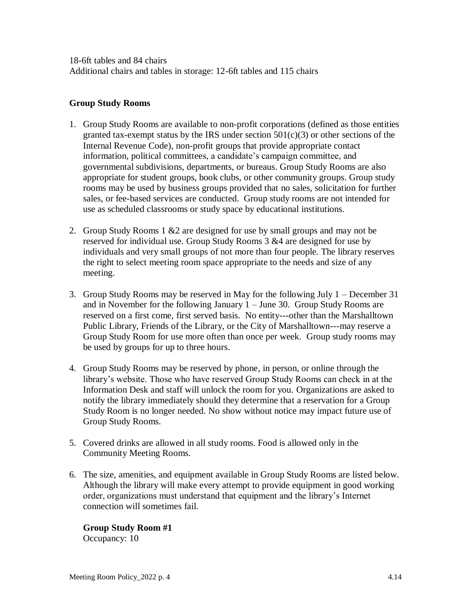18-6ft tables and 84 chairs Additional chairs and tables in storage: 12-6ft tables and 115 chairs

### **Group Study Rooms**

- 1. Group Study Rooms are available to non-profit corporations (defined as those entities granted tax-exempt status by the IRS under section  $501(c)(3)$  or other sections of the Internal Revenue Code), non-profit groups that provide appropriate contact information, political committees, a candidate's campaign committee, and governmental subdivisions, departments, or bureaus. Group Study Rooms are also appropriate for student groups, book clubs, or other community groups. Group study rooms may be used by business groups provided that no sales, solicitation for further sales, or fee-based services are conducted. Group study rooms are not intended for use as scheduled classrooms or study space by educational institutions.
- 2. Group Study Rooms 1 &2 are designed for use by small groups and may not be reserved for individual use. Group Study Rooms 3 &4 are designed for use by individuals and very small groups of not more than four people. The library reserves the right to select meeting room space appropriate to the needs and size of any meeting.
- 3. Group Study Rooms may be reserved in May for the following July 1 December 31 and in November for the following January 1 – June 30. Group Study Rooms are reserved on a first come, first served basis. No entity---other than the Marshalltown Public Library, Friends of the Library, or the City of Marshalltown---may reserve a Group Study Room for use more often than once per week. Group study rooms may be used by groups for up to three hours.
- 4. Group Study Rooms may be reserved by phone, in person, or online through the library's website. Those who have reserved Group Study Rooms can check in at the Information Desk and staff will unlock the room for you. Organizations are asked to notify the library immediately should they determine that a reservation for a Group Study Room is no longer needed. No show without notice may impact future use of Group Study Rooms.
- 5. Covered drinks are allowed in all study rooms. Food is allowed only in the Community Meeting Rooms.
- 6. The size, amenities, and equipment available in Group Study Rooms are listed below. Although the library will make every attempt to provide equipment in good working order, organizations must understand that equipment and the library's Internet connection will sometimes fail.

**Group Study Room #1** Occupancy: 10